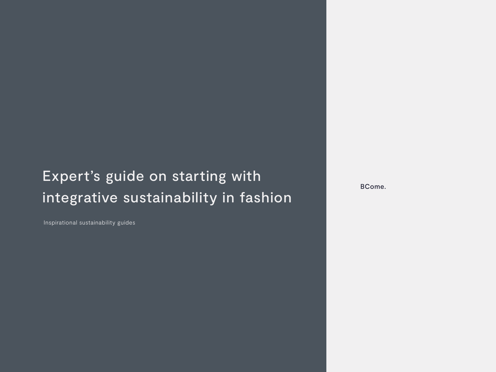### Expert's guide on starting with integrative sustainability in fashion

Inspirational sustainability guides

BCome.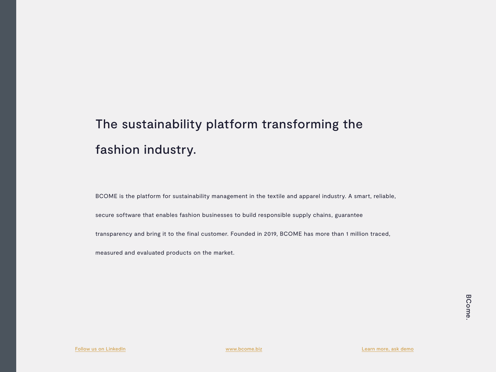### The sustainability platform transforming the fashion industry.

BCOME is the platform for sustainability management in the textile and apparel industry. A smart, reliable,

secure software that enables fashion businesses to build responsible supply chains, guarantee

transparency and bring it to the final customer. Founded in 2019, BCOME has more than 1 million traced,

measured and evaluated products on the market.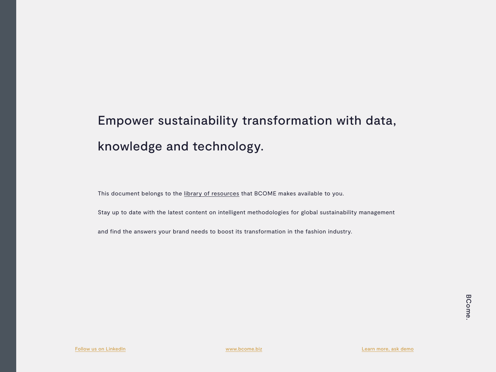## Empower sustainability transformation with data, knowledge and technology.

This document belongs to the [library of resources](https://bcome.biz/resources/) that BCOME makes available to you.

Stay up to date with the latest content on intelligent methodologies for global sustainability management

and find the answers your brand needs to boost its transformation in the fashion industry.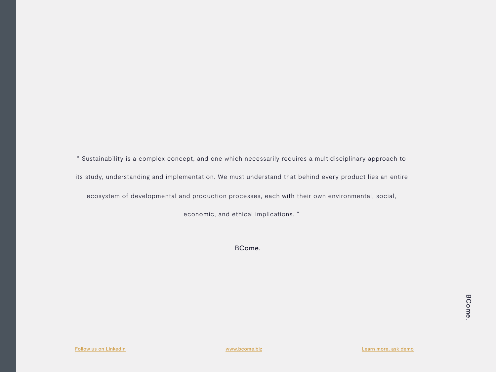" Sustainability is a complex concept, and one which necessarily requires a multidisciplinary approach to its study, understanding and implementation. We must understand that behind every product lies an entire ecosystem of developmental and production processes, each with their own environmental, social,

economic, and ethical implications. "

BCome.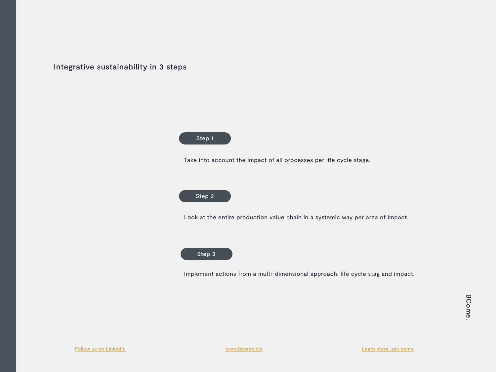Integrative sustainability in 3 steps



Take into account the impact of all processes per life cycle stage.



Look at the entire production value chain in a systemic way per area of impact.



Implement actions from a multi-dimensional approach: life cycle stag and impact.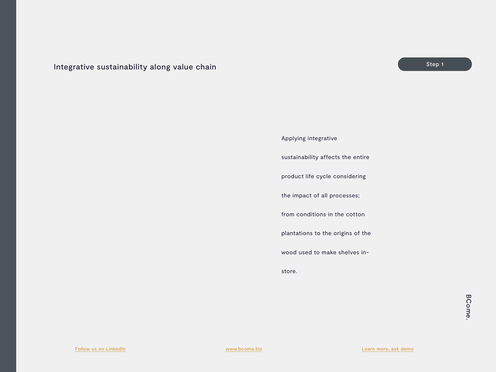#### <span id="page-5-0"></span>Integrative sustainability along value chain

### Applying integrative sustainability affects the entire product life cycle considering the impact of all processes; from conditions in the cotton plantations to the origins of the wood used to make shelves instore.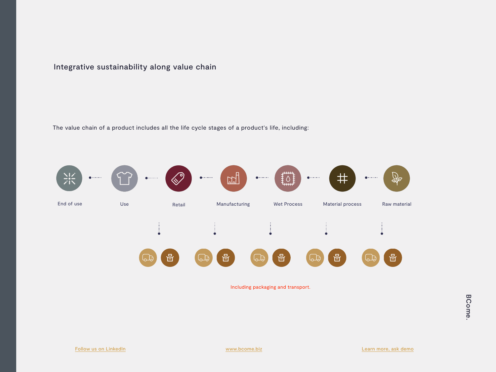#### Integrative sustainability along value chain

The value chain of a product includes all the life cycle stages of a product's life, including:



Including packaging and transport.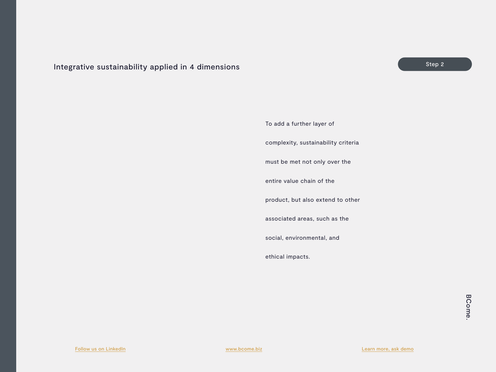#### <span id="page-7-0"></span>Integrative sustainability applied in 4 dimensions Step 2 and Step 2 and Step 2 and Step 2 and Step 2 and Step 2

To add a further layer of

complexity, sustainability criteria

must be met not only over the

entire value chain of the

product, but also extend to other

associated areas, such as the

social, environmental, and

ethical impacts.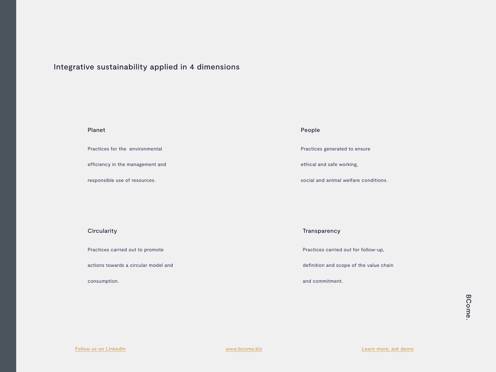#### Integrative sustainability applied in 4 dimensions

Planet

Practices for the environmental

efficiency in the management and

responsible use of resources.

**Circularity** 

Practices carried out to promote

actions towards a circular model and

consumption.

#### People

Practices generated to ensure

ethical and safe working,

social and animal welfare conditions.

**Transparency** 

Practices carried out for follow-up,

definition and scope of the value chain

and commitment.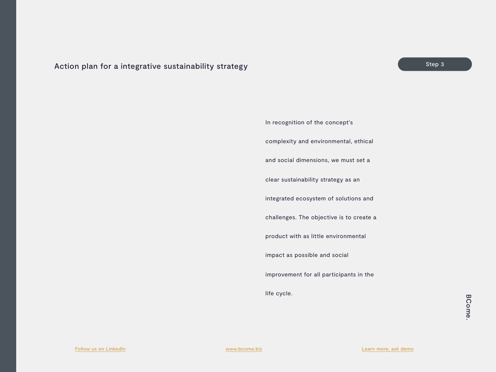#### <span id="page-9-0"></span>Action plan for a integrative sustainability strategy

In recognition of the concept's complexity and environmental, ethical and social dimensions, we must set a clear sustainability strategy as an integrated ecosystem of solutions and challenges. The objective is to create a product with as little environmental impact as possible and social improvement for all participants in the life cycle.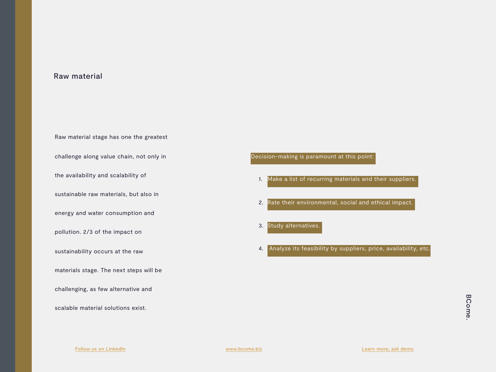#### Raw material

Raw material stage has one the greatest challenge along value chain, not only in the availability and scalability of sustainable raw materials, but also in energy and water consumption and pollution. 2/3 of the impact on sustainability occurs at the raw materials stage. The next steps will be challenging, as few alternative and scalable material solutions exist.

Decision-making is paramount at this point:

- 1. Make a list of recurring materials and their suppliers.
- 2. Rate their environmental, social and ethical impact.

3. Study alternatives.

4. Analyze its feasibility by suppliers, price, availability, etc.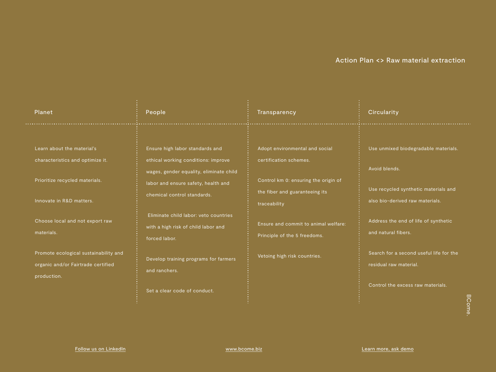#### Action Plan <> Raw material extraction

| Planet                                                                                                                       | People                                                                                                                                                                                  | Transparency                                                                                                                                       | <b>Circularity</b>                                                                                                               |
|------------------------------------------------------------------------------------------------------------------------------|-----------------------------------------------------------------------------------------------------------------------------------------------------------------------------------------|----------------------------------------------------------------------------------------------------------------------------------------------------|----------------------------------------------------------------------------------------------------------------------------------|
| Learn about the material's<br>characteristics and optimize it.<br>Prioritize recycled materials.<br>Innovate in R&D matters. | Ensure high labor standards and<br>ethical working conditions: improve<br>wages, gender equality, eliminate child<br>labor and ensure safety, health and<br>chemical control standards. | Adopt environmental and social<br>certification schemes.<br>Control km 0: ensuring the origin of<br>the fiber and guaranteeing its<br>traceability | Use unmixed biodegradable materials.<br>Avoid blends.<br>Use recycled synthetic materials and<br>also bio-derived raw materials. |
| Choose local and not export raw<br>materials.                                                                                | Eliminate child labor: veto countries<br>with a high risk of child labor and<br>forced labor.                                                                                           | Ensure and commit to animal welfare:<br>Principle of the 5 freedoms.                                                                               | Address the end of life of synthetic<br>and natural fibers.                                                                      |
| Promote ecological sustainability and<br>organic and/or Fairtrade certified<br>production.                                   | Develop training programs for farmers<br>and ranchers.                                                                                                                                  | Vetoing high risk countries.                                                                                                                       | Search for a second useful life for the<br>residual raw material.                                                                |
|                                                                                                                              | Set a clear code of conduct.                                                                                                                                                            |                                                                                                                                                    | Control the excess raw materials.<br>$\overline{\mathbf{u}}$                                                                     |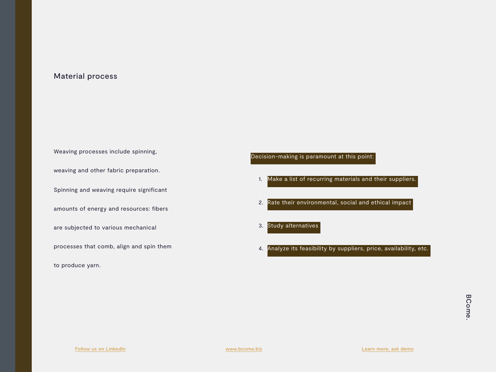#### Material process

Weaving processes include spinning, weaving and other fabric preparation. Spinning and weaving require significant amounts of energy and resources: fibers are subjected to various mechanical processes that comb, align and spin them to produce yarn.

Decision-making is paramount at this point:

- 1. Make a list of recurring materials and their suppliers.
- 2. Rate their environmental, social and ethical impact

3. Study alternatives

4. Analyze its feasibility by suppliers, price, availability, etc.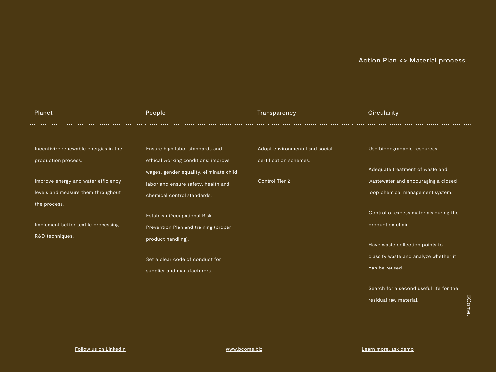#### Action Plan <> Material process

| Planet                                                                                                                                                                                                              | People                                                                                                                                                                                                                                                                                                                                                        | Transparency                                                                | <b>Circularity</b>                                                                                                                                                                                                                                                                                                                                                                            |
|---------------------------------------------------------------------------------------------------------------------------------------------------------------------------------------------------------------------|---------------------------------------------------------------------------------------------------------------------------------------------------------------------------------------------------------------------------------------------------------------------------------------------------------------------------------------------------------------|-----------------------------------------------------------------------------|-----------------------------------------------------------------------------------------------------------------------------------------------------------------------------------------------------------------------------------------------------------------------------------------------------------------------------------------------------------------------------------------------|
| Incentivize renewable energies in the<br>production process.<br>Improve energy and water efficiency<br>levels and measure them throughout<br>the process.<br>Implement better textile processing<br>R&D techniques. | Ensure high labor standards and<br>ethical working conditions: improve<br>wages, gender equality, eliminate child<br>labor and ensure safety, health and<br>chemical control standards.<br><b>Establish Occupational Risk</b><br>Prevention Plan and training (proper<br>product handling).<br>Set a clear code of conduct for<br>supplier and manufacturers. | Adopt environmental and social<br>certification schemes.<br>Control Tier 2. | Use biodegradable resources.<br>Adequate treatment of waste and<br>wastewater and encouraging a closed-<br>loop chemical management system.<br>Control of excess materials during the<br>production chain.<br>Have waste collection points to<br>classify waste and analyze whether it<br>can be reused.<br>Search for a second useful life for the<br><b>BCome</b><br>residual raw material. |
|                                                                                                                                                                                                                     |                                                                                                                                                                                                                                                                                                                                                               |                                                                             |                                                                                                                                                                                                                                                                                                                                                                                               |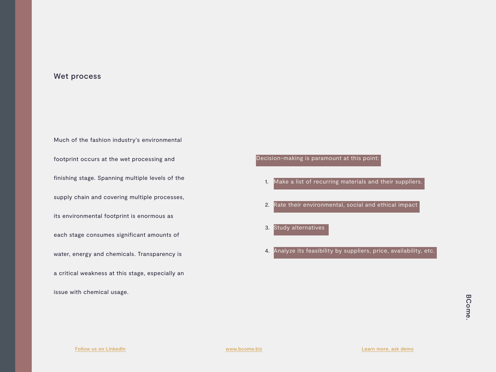#### Wet process

Much of the fashion industry's environmental footprint occurs at the wet processing and finishing stage. Spanning multiple levels of the supply chain and covering multiple processes, its environmental footprint is enormous as each stage consumes significant amounts of water, energy and chemicals. Transparency is a critical weakness at this stage, especially an

issue with chemical usage.

- 1. Make a list of recurring materials and their suppliers.
- 2. Rate their environmental, social and ethical impact
- 3. Study alternatives
- 4. Analyze its feasibility by suppliers, price, availability, etc.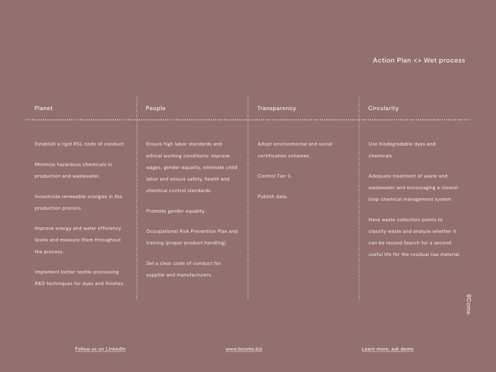| <b>Planet</b>                                                                                                                                                                                                                                                                                                                                       | People                                                                                                                                                                                                                                                                                                                                                                | Transparency                                                                                 | Circularity                                                                                                                                                                                                                                                                                                             |
|-----------------------------------------------------------------------------------------------------------------------------------------------------------------------------------------------------------------------------------------------------------------------------------------------------------------------------------------------------|-----------------------------------------------------------------------------------------------------------------------------------------------------------------------------------------------------------------------------------------------------------------------------------------------------------------------------------------------------------------------|----------------------------------------------------------------------------------------------|-------------------------------------------------------------------------------------------------------------------------------------------------------------------------------------------------------------------------------------------------------------------------------------------------------------------------|
| Establish a rigid RSL code of conduct<br>Minimize hazardous chemicals in<br>production and wastewater.<br>Incentivize renewable energies in the<br>production process.<br>Improve energy and water efficiency<br>levels and measure them throughout<br>the process.<br>Implement better textile processing<br>R&D techniques for dyes and finishes. | Ensure high labor standards and<br>ethical working conditions: improve<br>wages, gender equality, eliminate child<br>labor and ensure safety, health and<br>chemical control standards.<br>Promote gender equality.<br>Occupational Risk Prevention Plan and<br>training (proper product handling).<br>Set a clear code of conduct for<br>supplier and manufacturers. | Adopt environmental and social<br>certification schemes.<br>Control Tier 3.<br>Publish data. | Use biodegradable dyes and<br>chemicals.<br>Adequate treatment of waste and<br>wastewater and encouraging a closed-<br>loop chemical management system.<br>Have waste collection points to<br>classify waste and analyze whether it<br>can be reused. Search for a second<br>useful life for the residual raw material. |
|                                                                                                                                                                                                                                                                                                                                                     |                                                                                                                                                                                                                                                                                                                                                                       |                                                                                              | $\Omega$                                                                                                                                                                                                                                                                                                                |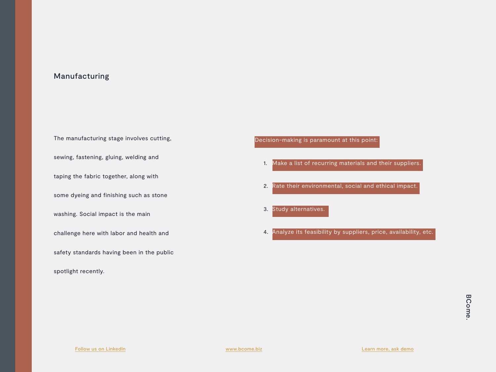#### Manufacturing

The manufacturing stage involves cutting, sewing, fastening, gluing, welding and taping the fabric together, along with some dyeing and finishing such as stone washing. Social impact is the main challenge here with labor and health and safety standards having been in the public spotlight recently.

- 1. Make a list of recurring materials and their suppliers.
- 2. Rate their environmental, social and ethical impact.
- 3. Study alternatives.
- 4. Analyze its feasibility by suppliers, price, availability, etc.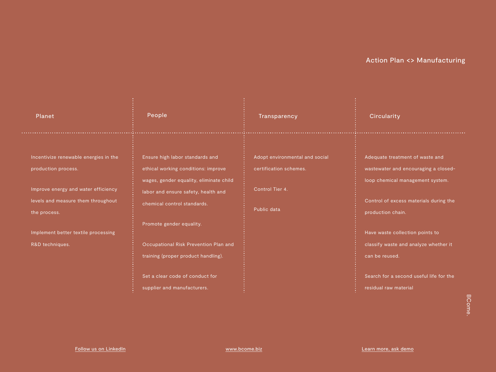| Planet                                                                                                                                                                                                              | People                                                                                                                                                                                                                                                                                                                                                                | Transparency                                                                               | <b>Circularity</b>                                                                                                                                                                                                                                                                                                                                |
|---------------------------------------------------------------------------------------------------------------------------------------------------------------------------------------------------------------------|-----------------------------------------------------------------------------------------------------------------------------------------------------------------------------------------------------------------------------------------------------------------------------------------------------------------------------------------------------------------------|--------------------------------------------------------------------------------------------|---------------------------------------------------------------------------------------------------------------------------------------------------------------------------------------------------------------------------------------------------------------------------------------------------------------------------------------------------|
| Incentivize renewable energies in the<br>production process.<br>Improve energy and water efficiency<br>levels and measure them throughout<br>the process.<br>Implement better textile processing<br>R&D techniques. | Ensure high labor standards and<br>ethical working conditions: improve<br>wages, gender equality, eliminate child<br>labor and ensure safety, health and<br>chemical control standards.<br>Promote gender equality.<br>Occupational Risk Prevention Plan and<br>training (proper product handling).<br>Set a clear code of conduct for<br>supplier and manufacturers. | Adopt environmental and social<br>certification schemes.<br>Control Tier 4.<br>Public data | Adequate treatment of waste and<br>wastewater and encouraging a closed-<br>loop chemical management system.<br>Control of excess materials during the<br>production chain.<br>Have waste collection points to<br>classify waste and analyze whether it<br>can be reused.<br>Search for a second useful life for the<br>residual raw material<br>œ |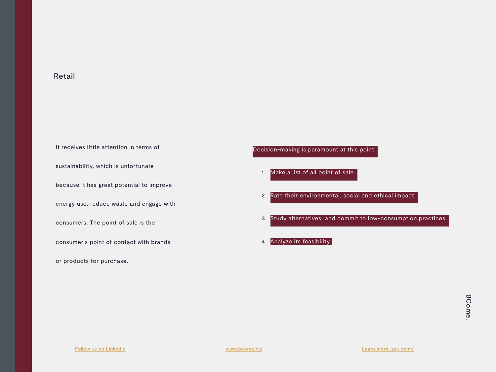#### Retail

It receives little attention in terms of sustainability, which is unfortunate because it has great potential to improve energy use, reduce waste and engage with consumers. The point of sale is the consumer's point of contact with brands or products for purchase.

- 1. Make a list of all point of sale.
- 2. Rate their environmental, social and ethical impact.
- 3. Study alternatives and commit to low-consumption practices.
- 4. Analyze its feasibility.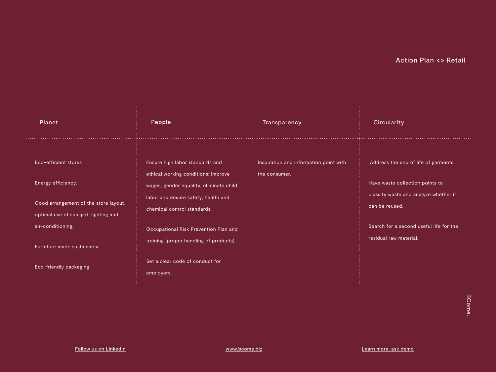| Planet                                                                                                                                                                                                     | People                                                                                                                                                                                                                                                                                                                       | Transparency                                            | <b>Circularity</b>                                                                                                                                                                                      |
|------------------------------------------------------------------------------------------------------------------------------------------------------------------------------------------------------------|------------------------------------------------------------------------------------------------------------------------------------------------------------------------------------------------------------------------------------------------------------------------------------------------------------------------------|---------------------------------------------------------|---------------------------------------------------------------------------------------------------------------------------------------------------------------------------------------------------------|
| Eco-efficient stores<br>Energy efficiency.<br>Good arrangement of the store layout,<br>optimal use of sunlight, lighting and<br>air-conditioning.<br>Furniture made sustainably.<br>Eco-friendly packaging | Ensure high labor standards and<br>ethical working conditions: improve<br>wages, gender equality, eliminate child<br>labor and ensure safety, health and<br>chemical control standards.<br>Occupational Risk Prevention Plan and<br>training (proper handling of products).<br>Set a clear code of conduct for<br>employers. | Inspiration and information point with<br>the consumer. | Address the end of life of garments.<br>Have waste collection points to<br>classify waste and analyze whether it<br>can be reused.<br>Search for a second useful life for the<br>residual raw material. |
|                                                                                                                                                                                                            |                                                                                                                                                                                                                                                                                                                              |                                                         |                                                                                                                                                                                                         |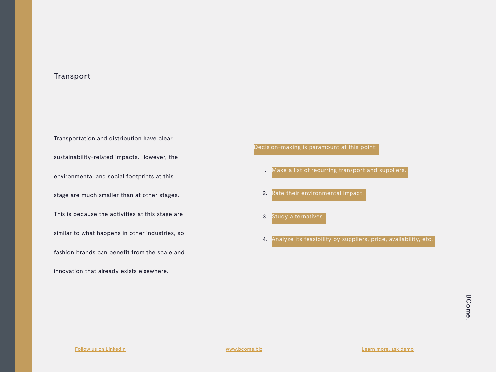#### Transport

Transportation and distribution have clear sustainability-related impacts. However, the environmental and social footprints at this stage are much smaller than at other stages. This is because the activities at this stage are similar to what happens in other industries, so fashion brands can benefit from the scale and innovation that already exists elsewhere.

- 1. Make a list of recurring transport and suppliers.
- 2. Rate their environmental impact.
- 3. Study alternatives.
- 4. Analyze its feasibility by suppliers, price, availability, etc.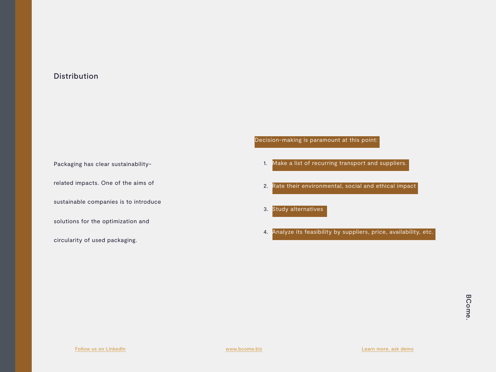#### Distribution

Packaging has clear sustainability-

related impacts. One of the aims of

sustainable companies is to introduce

solutions for the optimization and

circularity of used packaging.

- 1. Make a list of recurring transport and suppliers.
- 2. Rate their environmental, social and ethical impact
- 3. Study alternatives
- 4. Analyze its feasibility by suppliers, price, availability, etc.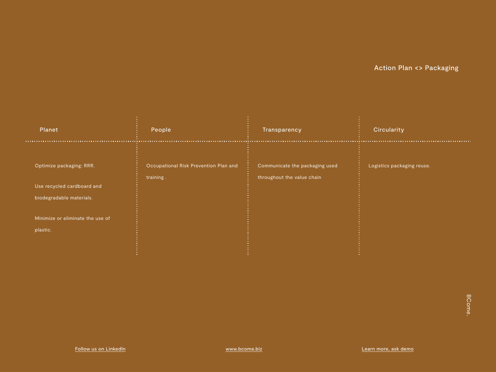| Planet                                                 | People                                             | Transparency                                                 | <b>Circularity</b>         |
|--------------------------------------------------------|----------------------------------------------------|--------------------------------------------------------------|----------------------------|
| Optimize packaging: RRR.<br>Use recycled cardboard and | Occupational Risk Prevention Plan and<br>training. | Communicate the packaging used<br>throughout the value chain | Logistics packaging reuse. |
| biodegradable materials.                               |                                                    |                                                              |                            |
| Minimize or eliminate the use of<br>plastic.           |                                                    |                                                              |                            |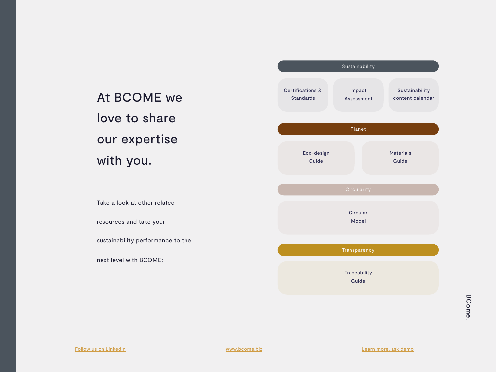### At BCOME we love to share our expertise with you.

Take a look at other related resources and take your

sustainability performance to the

next level with BCOME:

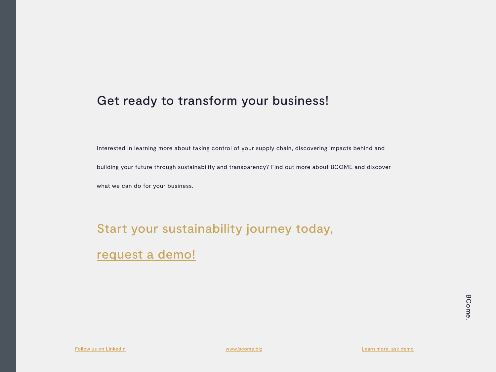### Get ready to transform your business!

Interested in learning more about taking control of your supply chain, discovering impacts behind and building your future through sustainability and transparency? Find out more about [BCOME](http://www.bcome.biz) and discover what we can do for your business.

# Start your sustainability journey today,

[request](https://bcome.biz/demo/) a demo!

[Follow us on LinkedIn](https://www.linkedin.com/company/bcome-impact/) [www.bcome.biz](http://www.bcome.biz) [Learn more, ask demo](https://bcome.biz/demo/)